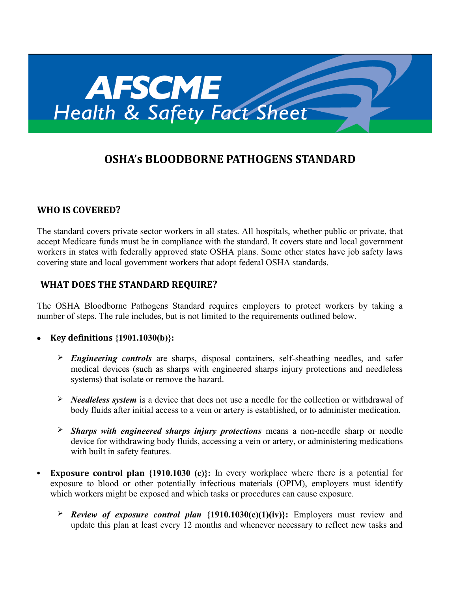

# **OSHA's BLOODBORNE PATHOGENS STANDARD**

### **WHO IS COVERED?**

The standard covers private sector workers in all states. All hospitals, whether public or private, that accept Medicare funds must be in compliance with the standard. It covers state and local government workers in states with federally approved state OSHA plans. Some other states have job safety laws covering state and local government workers that adopt federal OSHA standards.

## **WHAT DOES THE STANDARD REQUIRE?**

The OSHA Bloodborne Pathogens Standard requires employers to protect workers by taking a number of steps. The rule includes, but is not limited to the requirements outlined below.

- **Key definitions {1901.1030(b)}:**
	- *Engineering controls* are sharps, disposal containers, self-sheathing needles, and safer medical devices (such as sharps with engineered sharps injury protections and needleless systems) that isolate or remove the hazard.
	- *Needleless system* is a device that does not use a needle for the collection or withdrawal of body fluids after initial access to a vein or artery is established, or to administer medication.
	- *Sharps with engineered sharps injury protections* means a non-needle sharp or needle device for withdrawing body fluids, accessing a vein or artery, or administering medications with built in safety features.
- **Exposure control plan** {1910.1030 (c)}: In every workplace where there is a potential for exposure to blood or other potentially infectious materials (OPIM), employers must identify which workers might be exposed and which tasks or procedures can cause exposure.
	- *Review of exposure control plan* **{1910.1030(c)(1)(iv)}:** Employers must review and update this plan at least every 12 months and whenever necessary to reflect new tasks and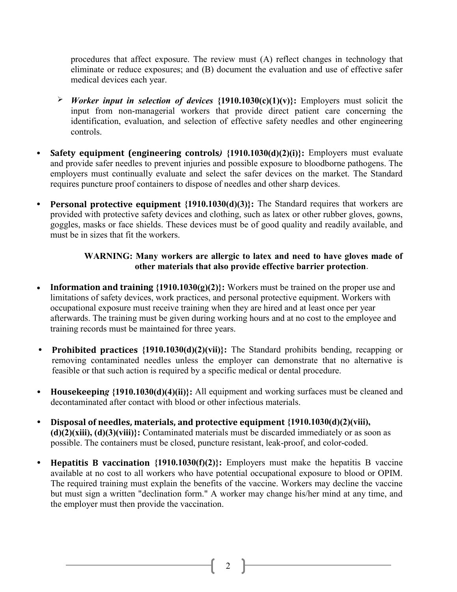procedures that affect exposure. The review must (A) reflect changes in technology that eliminate or reduce exposures; and (B) document the evaluation and use of effective safer medical devices each year.

- *Worker input in selection of devices* **{1910.1030(c)(1)(v)}:** Employers must solicit the input from non-managerial workers that provide direct patient care concerning the identification, evaluation, and selection of effective safety needles and other engineering controls.
- **Safety equipment (engineering controls***)* **{1910.1030(d)(2)(i)}:** Employers must evaluate and provide safer needles to prevent injuries and possible exposure to bloodborne pathogens. The employers must continually evaluate and select the safer devices on the market. The Standard requires puncture proof containers to dispose of needles and other sharp devices.
- **Personal protective equipment {1910.1030(d)(3)}:** The Standard requires that workers are provided with protective safety devices and clothing, such as latex or other rubber gloves, gowns, goggles, masks or face shields. These devices must be of good quality and readily available, and must be in sizes that fit the workers.

#### **WARNING: Many workers are allergic to latex and need to have gloves made of other materials that also provide effective barrier protection**.

- **Information and training {1910.1030(g)(2)}:** Workers must be trained on the proper use and limitations of safety devices, work practices, and personal protective equipment. Workers with occupational exposure must receive training when they are hired and at least once per year afterwards. The training must be given during working hours and at no cost to the employee and training records must be maintained for three years.
- **Prohibited practices {1910.1030(d)(2)(vii)}:** The Standard prohibits bending, recapping or removing contaminated needles unless the employer can demonstrate that no alternative is feasible or that such action is required by a specific medical or dental procedure.
- **Housekeepin***g* **{1910.1030(d)(4)(ii)}:** All equipment and working surfaces must be cleaned and decontaminated after contact with blood or other infectious materials.
- **Disposal of needles, materials, and protective equipment {1910.1030(d)(2)(viii), (d)(2)(xiii), (d)(3)(viii)}:** Contaminated materials must be discarded immediately or as soon as possible. The containers must be closed, puncture resistant, leak-proof, and color-coded.
- **Hepatitis B vaccination {1910.1030(f)(2)}:** Employers must make the hepatitis B vaccine available at no cost to all workers who have potential occupational exposure to blood or OPIM. The required training must explain the benefits of the vaccine. Workers may decline the vaccine but must sign a written "declination form." A worker may change his/her mind at any time, and the employer must then provide the vaccination.

2